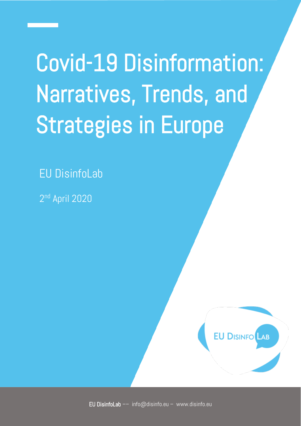Covid-19 Disinformation: Narratives, Trends, and Strategies in Europe

EU DisinfoLab

2 nd April 2020

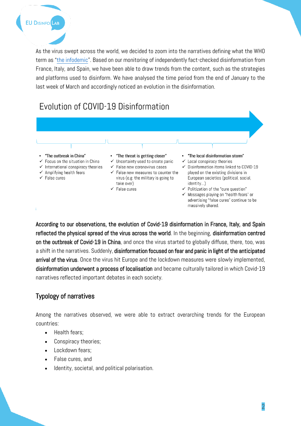As the virus swept across the world, we decided to zoom into the narratives defining what the WHO term as "[the infodemic](https://www.who.int/docs/default-source/coronaviruse/situation-reports/20200202-sitrep-13-ncov-v3.pdf)". Based on our monitoring of independently fact-checked disinformation from France, Italy, and Spain, we have been able to draw trends from the content, such as the strategies and platforms used to disinform. We have analysed the time period from the end of January to the last week of March and accordingly noticed an evolution in the disinformation.

# Evolution of COVID-19 Disinformation



← Messages playing on "health fears" or advertising "false cures" continue to be massively shared.

According to our observations, the evolution of Covid-19 disinformation in France, Italy, and Spain reflected the physical spread of the virus across the world. In the beginning, disinformation centred on the outbreak of Covid-19 in China, and once the virus started to globally diffuse, there, too, was a shift in the narratives. Suddenly, disinformation focused on fear and panic in light of the anticipated arrival of the virus. Once the virus hit Europe and the lockdown measures were slowly implemented, disinformation underwent a process of localisation and became culturally tailored in which Covid-19 narratives reflected important debates in each society.

# Typology of narratives

Among the narratives observed, we were able to extract overarching trends for the European countries:

- Health fears;
- Conspiracy theories;
- Lockdown fears;
- False cures, and
- Identity, societal, and political polarisation.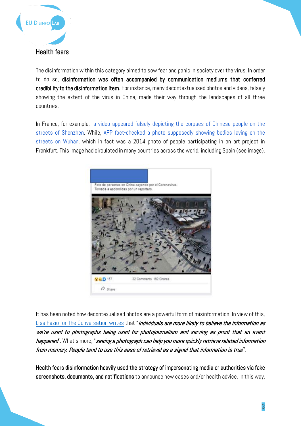

The disinformation within this category aimed to sow fear and panic in society over the virus. In order to do so, disinformation was often accompanied by communication mediums that conferred credibility to the disinformation item. For instance, many decontextualised photos and videos, falsely showing the extent of the virus in China, made their way through the landscapes of all three countries.

In France, for example, a video appeared falsely depicting the corpses of Chinese people on the [streets of Shenzhen.](https://factuel.afp.com/non-cette-video-ne-montre-pas-des-morts-du-coronavirus-dans-une-rue-en-chine) While, [AFP fact-checked a photo supposedly showing bodies laying on the](https://factcheck.afp.com/2014-photo-people-participating-art-project-frankfurt-germany)  [streets on Wuhan,](https://factcheck.afp.com/2014-photo-people-participating-art-project-frankfurt-germany) which in fact was a 2014 photo of people participating in an art project in Frankfurt. This image had circulated in many countries across the world, including Spain (see image).



It has been noted how decontexualised photos are a powerful form of misinformation. In view of this, [Lisa Fazio for The Conversation writes](https://theconversation.com/out-of-context-photos-are-a-powerful-low-tech-form-of-misinformation-129959) that "*individuals are more likely to believe the information as* we're used to photographs being used for photojournalism and serving as proof that an event happened". What's more, "seeing a photograph can help you more quickly retrieve related information from memory. People tend to use this ease of retrieval as a signal that information is true''.

Health fears disinformation heavily used the strategy of impersonating media or authorities via fake screenshots, documents, and notifications to announce new cases and/or health advice. In this way,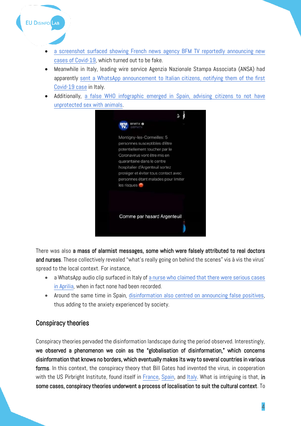

- Meanwhile in Italy, leading wire service Agenzia Nazionale Stampa Associata (ANSA) had apparently [sent a WhatsApp announcement to Italian citizens, notifying them of the first](https://www.bufale.net/primo-caso-di-coronavirus-in-italia-a-farne-le-spese-un-giovane-24enne-della-provincia-di-vicenza/)  [Covid-19 case](https://www.bufale.net/primo-caso-di-coronavirus-in-italia-a-farne-le-spese-un-giovane-24enne-della-provincia-di-vicenza/) in Italy.
- Additionally, [a false WHO infographic emerged in Spain, advising citizens to not](https://maldita.es/malditobulo/2020/01/29/no-la-oms-no-ha-pedido-evitar-tener-sexo-sin-proteccion-con-animales-para-evitar-el-contagio-de-coronavirus-es-una-imagen-manipulada/) have [unprotected sex with animals.](https://maldita.es/malditobulo/2020/01/29/no-la-oms-no-ha-pedido-evitar-tener-sexo-sin-proteccion-con-animales-para-evitar-el-contagio-de-coronavirus-es-una-imagen-manipulada/)



There was also a mass of alarmist messages, some which were falsely attributed to real doctors and nurses. These collectively revealed "what's really going on behind the scenes" vis à vis the virus' spread to the local context. For instance,

- a WhatsApp audio clip surfaced in Italy of [a nurse who claimed that there were serious cases](https://www.bufale.net/coronavirus-ad-aprilia-sono-uninfermiera-3-casi-gravissimi-uno-e-molto-contagiato-in-via-inghilterra/)  [in Aprilia,](https://www.bufale.net/coronavirus-ad-aprilia-sono-uninfermiera-3-casi-gravissimi-uno-e-molto-contagiato-in-via-inghilterra/) when in fact none had been recorded.
- Around the same time in Spain, [disinformation also centred on announcing false positives,](https://maldita.es/malditobulo/2020/02/27/nuevo-caso-confirmado-de-coronavirus-sacedon-guadalajara/) thus adding to the anxiety experienced by society.

## Conspiracy theories

**EU DISINFO** LAB

Conspiracy theories pervaded the disinformation landscape during the period observed. Interestingly, we observed a phenomenon we coin as the "globalisation of disinformation," which concerns disinformation that knows no borders, which eventually makes its way to several countries in various forms. In this context, the conspiracy theory that Bill Gates had invented the virus, in cooperation with the US Pirbright Institute, found itself in [France,](https://www.lemonde.fr/les-decodeurs/article/2020/02/05/coronavirus-bill-gates-cible-par-des-rumeurs-et-infox-complotistes_6028482_4355770.html) [Spain,](https://maldita.es/malditobulo/2020/03/12/no-no-hay-pruebas-de-que-bill-gates-sea-el-propietario-de-la-patente-del-brote-del-nuevo-coronavirus-iniciado-en-china/) and [Italy.](https://pagellapolitica.it/bufale/show/910/no-il-coronavirus-non-%C3%A8-stato-creato-in-laboratorio-nel-2015-dal-pirbright-institute) What is intriguing is that, in some cases, conspiracy theories underwent a process of localisation to suit the cultural context. To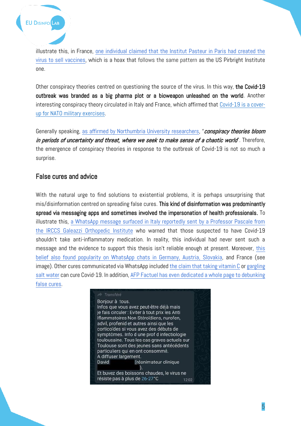

illustrate this, in France, [one individual claimed that the Institut Pasteur in Paris had created the](https://factuel.afp.com/non-le-coronavirus-detecte-en-chine-na-pas-ete-cree-puis-brevete-par-linstitut-pasteur)  [virus to sell vaccines,](https://factuel.afp.com/non-le-coronavirus-detecte-en-chine-na-pas-ete-cree-puis-brevete-par-linstitut-pasteur) which is a hoax that follows the same pattern as the US Pirbright Institute one.

Other conspiracy theories centred on questioning the source of the virus. In this way, the Covid-19 outbreak was branded as a big pharma plot or a bioweapon unleashed on the world. Another interesting conspiracy theory circulated in Italy and France, which affirmed that [Covid-19 is a cover](https://pagellapolitica.it/blog/show/637/che-cosa-sappiamo-di-defender-europe-20-e-quanto-centra-con-il-coronavirus)[up for NATO military exercises.](https://pagellapolitica.it/blog/show/637/che-cosa-sappiamo-di-defender-europe-20-e-quanto-centra-con-il-coronavirus)

Generally speaking, [as affirmed by Northumbria University researchers](http://newsroom.northumbria.ac.uk/pressreleases/expert-comment-coronavirus-is-a-breeding-ground-for-conspiracy-theories-heres-why-thats-a-serious-problem-2978204), "conspiracy theories bloom in periods of uncertainty and threat, where we seek to make sense of a chaotic world". Therefore, the emergence of conspiracy theories in response to the outbreak of Covid-19 is not so much a surprise.

### False cures and advice

With the natural urge to find solutions to existential problems, it is perhaps unsurprising that mis/disinformation centred on spreading false cures. This kind of disinformation was predominantly spread via messaging apps and sometimes involved the impersonation of health professionals. To illustrate this, [a WhatsApp message surfaced in Italy reportedly sent by a Professor Pascale from](https://www.butac.it/il-professor-pascale-e-gli-antinfiammatori/)  [the IRCCS Galeazzi Orthopedic Institute](https://www.butac.it/il-professor-pascale-e-gli-antinfiammatori/) who warned that those suspected to have Covid-19 shouldn't take anti-inflammatory medication. In reality, this individual had never sent such a message and the evidence to support this thesis isn't reliable enough at present. Moreover, [this](https://www.politico.com/news/2020/03/16/coronavirus-fake-news-pandemic-133447)  [belief also found popularity on WhatsApp chats in Germany, Austria, Slovakia,](https://www.politico.com/news/2020/03/16/coronavirus-fake-news-pandemic-133447) and France (see image). Other cures communicated via WhatsApp include[d the claim that taking vitamin C](https://www.open.online/2020/03/10/coronavirus-vitamina-c-come-terapia-vincente-per-i-pazienti-negli-ospedali-milanesi-falso-laudio-whatsapp/) or [gargling](https://www.newtral.es/enjuagarse-la-garganta-con-agua-salada-no-previene-la-neumonia-de-wuhan/20200204/)  [salt water](https://www.newtral.es/enjuagarse-la-garganta-con-agua-salada-no-previene-la-neumonia-de-wuhan/20200204/) can cure Covid-19. In addition, AFP Factuel has even [dedicated a whole page to debunking](https://factuel.afp.com/faux-remedes-et-mauvais-conseils-de-prevention-du-coronavirus-les-verifications-de-lafp)  [false cures.](https://factuel.afp.com/faux-remedes-et-mauvais-conseils-de-prevention-du-coronavirus-les-verifications-de-lafp)

#### Transféré

Bonjour à tous. Infos que vous avez peut-être déjà mais je fais circuler : Eviter à tout prix les Anti Iflammatoires Non Stéroïdiens, nurofen, advil, profenid et autres ainsi que les corticoïdes si vous avez des débuts de symptômes. Info d une prof d infectiologie toulousaine. Tous les cas graves actuels sur Toulouse sont des jeunes sans antécédents particuliers qui en ont consommé. A diffuser largement. David (réanimateur clinique  $).$ Et buvez des boissons chaudes, le virus ne résiste pas à plus de 26-27°C 12:02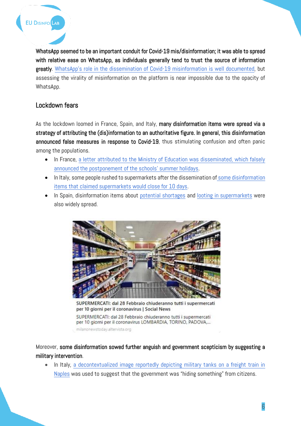WhatsApp seemed to be an important conduit for Covid-19 mis/disinformation; it was able to spread with relative ease on WhatsApp, as individuals generally tend to trust the source of information greatly. [WhatsApp's role in the dissemination of Covid](https://www.politico.eu/article/the-coronavirus-covid19-fake-news-pandemic-sweeping-whatsapp-misinformation/)-19 misinformation is well documented, but assessing the virality of misinformation on the platform is near impossible due to the opacity of WhatsApp.

## Lockdown fears

As the lockdown loomed in France, Spain, and Italy, many disinformation items were spread via a strategy of attributing the (dis)information to an authoritative figure. In general, this disinformation announced false measures in response to Covid-19, thus stimulating confusion and often panic among the populations.

- In France, [a letter attributed to the Ministry of Education was disseminated, which falsely](https://factuel.afp.com/faux-cette-lettre-du-ministre-de-leducation-annoncant-le-report-des-vacances-dete-est-un-pastiche)  [announced the postponement of the schools](https://factuel.afp.com/faux-cette-lettre-du-ministre-de-leducation-annoncant-le-report-des-vacances-dete-est-un-pastiche)' summer holidays.
- In Italy, some people rushed to supermarkets after the dissemination of [some disinformation](https://www.butac.it/supermercati-chiusi-per-10-giorni/)  [items that claimed supermarkets would close for 10 days.](https://www.butac.it/supermercati-chiusi-per-10-giorni/)
- In Spain, disinformation items about [potential shortages](https://maldita.es/malditobulo/2020/03/16/mercadona-carne-bandeja-dos-articulos-compra-limitar/) and [looting in supermarkets](https://maldita.es/malditobulo/2020/03/10/supermercado-vitoria-saqueo-coronavirus-chile/) were also widely spread.



SUPERMERCATI: dal 28 Febbraio chiuderanno tutti i supermercati per 10 giorni per il coronavirus | Social News

SUPERMERCATI: dal 28 Febbraio chiuderanno tutti i supermercati per 10 giorni per il coronavirus LOMBARDIA, TORINO, PADOVA,...

milanonewstoday.altervista.org

Moreover, some disinformation sowed further anguish and government scepticism by suggesting a military intervention.

• In Italy, [a decontextualized image reportedly depicting military tanks on a freight train in](https://pagellapolitica.it/bufale/show/1002/no-questa-foto-di-un-treno-che-trasporta-dei-carri-armati-non-%C3%A8-stata-scattata-a-napoli-a-marzo-2020)  [Naples](https://pagellapolitica.it/bufale/show/1002/no-questa-foto-di-un-treno-che-trasporta-dei-carri-armati-non-%C3%A8-stata-scattata-a-napoli-a-marzo-2020) was used to suggest that the government was "hiding something" from citizens.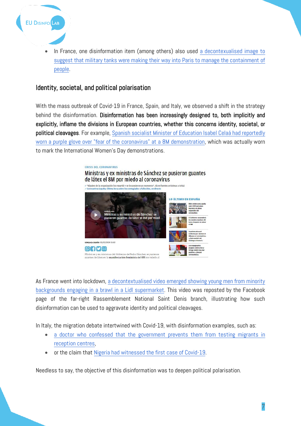

• In France, one disinformation item (among others) also used [a decontexualised image to](https://factuel.afp.com/cette-photo-montre-des-vehicules-militaires-retournant-leur-base-dorigine)  [suggest that military tanks were making their way into Paris to manage the containment of](https://factuel.afp.com/cette-photo-montre-des-vehicules-militaires-retournant-leur-base-dorigine)  [people.](https://factuel.afp.com/cette-photo-montre-des-vehicules-militaires-retournant-leur-base-dorigine)

## Identity, societal, and political polarisation

With the mass outbreak of Covid-19 in France, Spain, and Italy, we observed a shift in the strategy behind the disinformation. Disinformation has been increasingly designed to, both implicitly and explicitly, inflame the divisions in European countries, whether this concerns identity, societal, or political cleavages. For example, Spanish socialist Minister of Education Isabel Celaá had reportedly [worn a purple glove over "fear of the coronavirus" at a 8M demonstration,](https://web.archive.org/web/20200310153936/https:/okdiario.com/espana/ministras-ex-ministras-sanchez-pusieron-guantes-latex-8m-miedo-coronavirus-5275938) which was actually worn to mark the International Women's Day demonstrations.



As France went into lockdown, [a decontextualised video emerged showing young men from minority](https://factuel.afp.com/attention-cette-video-dune-rixe-dans-un-supermarche-lidl-daubervilliers-date-de-mai-2019)  [backgrounds engaging in a brawl in a Lidl supermarket.](https://factuel.afp.com/attention-cette-video-dune-rixe-dans-un-supermarche-lidl-daubervilliers-date-de-mai-2019) This video was reposted by the Facebook page of the far-right Rassemblement National Saint Denis branch, illustrating how such disinformation can be used to aggravate identity and political cleavages.

In Italy, the migration debate intertwined with Covid-19, with disinformation examples, such as:

- a doctor who confessed that the government prevents them from testing migrants in [reception centres,](https://www.open.online/2020/03/01/coronavirus-un-medico-confessa-che-il-governo-impedisce-di-fare-i-tamponi-ai-migranti-sulle-ong-no-falso/)
- or the claim that [Nigeria had witnessed the first case of Covid-19.](https://www.open.online/2020/02/28/larticolo-del-sito-controinformazione-info-e-il-primo-caso-di-coronavirus-in-nigeria-non-ce-traccia-dellitaliano/)

Needless to say, the objective of this disinformation was to deepen political polarisation.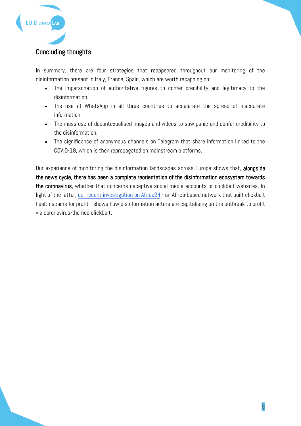

# Concluding thoughts

In summary, there are four strategies that reappeared throughout our monitoring of the disinformation present in Italy, France, Spain, which are worth recapping on:

- The impersonation of authoritative figures to confer credibility and legitimacy to the disinformation.
- The use of WhatsApp in all three countries to accelerate the spread of inaccurate information.
- The mass use of decontexualised images and videos to sow panic and confer credibility to the disinformation.
- The significance of anonymous channels on Telegram that share information linked to the COVID-19, which is then repropagated on mainstream platforms.

Our experience of monitoring the disinformation landscapes across Europe shows that, alongside the news cycle, there has been a complete reorientation of the disinformation ecosystem towards the coronavirus, whether that concerns deceptive social media accounts or clickbait websites. In light of the latter, [our recent investigation on Africa24](https://www.disinfo.eu/publications/from-health-disinformation-to-copy-pasting-articles-from-sputnik-and-rt-how-an-africa-based-network-built-fake-media-outlets-and-clickbait-websites-for-profit) - an Africa-based network that built clickbait health scams for profit - shows how disinformation actors are capitalising on the outbreak to profit via coronavirus-themed clickbait.